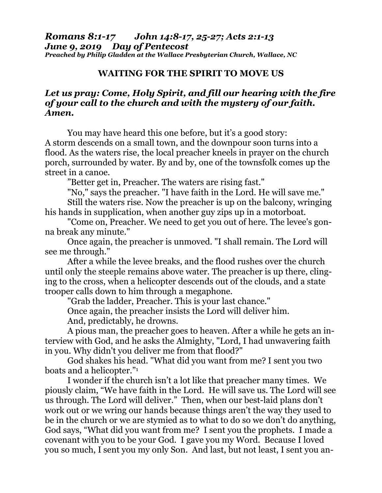*Romans 8:1-17 John 14:8-17, 25-27; Acts 2:1-13 June 9, 2019 Day of Pentecost Preached by Philip Gladden at the Wallace Presbyterian Church, Wallace, NC*

## **WAITING FOR THE SPIRIT TO MOVE US**

## *Let us pray: Come, Holy Spirit, and fill our hearing with the fire of your call to the church and with the mystery of our faith. Amen.*

You may have heard this one before, but it's a good story: A storm descends on a small town, and the downpour soon turns into a flood. As the waters rise, the local preacher kneels in prayer on the church porch, surrounded by water. By and by, one of the townsfolk comes up the street in a canoe.

"Better get in, Preacher. The waters are rising fast."

"No," says the preacher. "I have faith in the Lord. He will save me."

Still the waters rise. Now the preacher is up on the balcony, wringing his hands in supplication, when another guy zips up in a motorboat.

"Come on, Preacher. We need to get you out of here. The levee's gonna break any minute."

Once again, the preacher is unmoved. "I shall remain. The Lord will see me through."

After a while the levee breaks, and the flood rushes over the church until only the steeple remains above water. The preacher is up there, clinging to the cross, when a helicopter descends out of the clouds, and a state trooper calls down to him through a megaphone.

"Grab the ladder, Preacher. This is your last chance."

Once again, the preacher insists the Lord will deliver him.

And, predictably, he drowns.

A pious man, the preacher goes to heaven. After a while he gets an interview with God, and he asks the Almighty, "Lord, I had unwavering faith in you. Why didn't you deliver me from that flood?"

God shakes his head. "What did you want from me? I sent you two boats and a helicopter."<sup>1</sup>

I wonder if the church isn't a lot like that preacher many times. We piously claim, "We have faith in the Lord. He will save us. The Lord will see us through. The Lord will deliver." Then, when our best-laid plans don't work out or we wring our hands because things aren't the way they used to be in the church or we are stymied as to what to do so we don't do anything, God says, "What did you want from me? I sent you the prophets. I made a covenant with you to be your God. I gave you my Word. Because I loved you so much, I sent you my only Son. And last, but not least, I sent you an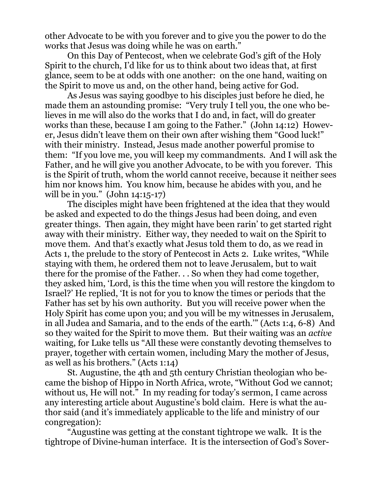other Advocate to be with you forever and to give you the power to do the works that Jesus was doing while he was on earth."

On this Day of Pentecost, when we celebrate God's gift of the Holy Spirit to the church, I'd like for us to think about two ideas that, at first glance, seem to be at odds with one another: on the one hand, waiting on the Spirit to move us and, on the other hand, being active for God.

As Jesus was saying goodbye to his disciples just before he died, he made them an astounding promise: "Very truly I tell you, the one who believes in me will also do the works that I do and, in fact, will do greater works than these, because I am going to the Father." (John 14:12) However, Jesus didn't leave them on their own after wishing them "Good luck!" with their ministry. Instead, Jesus made another powerful promise to them: "If you love me, you will keep my commandments. And I will ask the Father, and he will give you another Advocate, to be with you forever. This is the Spirit of truth, whom the world cannot receive, because it neither sees him nor knows him. You know him, because he abides with you, and he will be in you." (John 14:15-17)

The disciples might have been frightened at the idea that they would be asked and expected to do the things Jesus had been doing, and even greater things. Then again, they might have been rarin' to get started right away with their ministry. Either way, they needed to wait on the Spirit to move them. And that's exactly what Jesus told them to do, as we read in Acts 1, the prelude to the story of Pentecost in Acts 2. Luke writes, "While staying with them, he ordered them not to leave Jerusalem, but to wait there for the promise of the Father. . . So when they had come together, they asked him, 'Lord, is this the time when you will restore the kingdom to Israel?' He replied, 'It is not for you to know the times or periods that the Father has set by his own authority. But you will receive power when the Holy Spirit has come upon you; and you will be my witnesses in Jerusalem, in all Judea and Samaria, and to the ends of the earth.'" (Acts 1:4, 6-8) And so they waited for the Spirit to move them. But their waiting was an *active* waiting, for Luke tells us "All these were constantly devoting themselves to prayer, together with certain women, including Mary the mother of Jesus, as well as his brothers." (Acts 1:14)

St. Augustine, the 4th and 5th century Christian theologian who became the bishop of Hippo in North Africa, wrote, "Without God we cannot; without us, He will not." In my reading for today's sermon, I came across any interesting article about Augustine's bold claim. Here is what the author said (and it's immediately applicable to the life and ministry of our congregation):

"Augustine was getting at the constant tightrope we walk. It is the tightrope of Divine-human interface. It is the intersection of God's Sover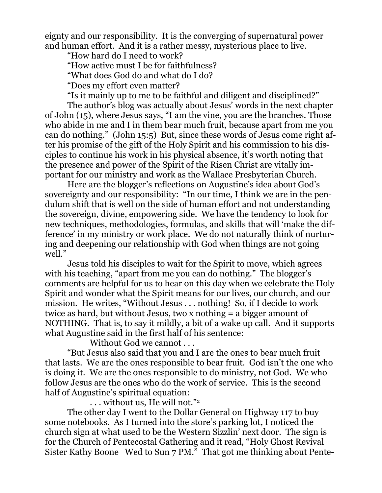eignty and our responsibility. It is the converging of supernatural power and human effort. And it is a rather messy, mysterious place to live.

"How hard do I need to work?

"How active must I be for faithfulness?

"What does God do and what do I do?

"Does my effort even matter?

"Is it mainly up to me to be faithful and diligent and disciplined?"

The author's blog was actually about Jesus' words in the next chapter of John (15), where Jesus says, "I am the vine, you are the branches. Those who abide in me and I in them bear much fruit, because apart from me you can do nothing." (John 15:5) But, since these words of Jesus come right after his promise of the gift of the Holy Spirit and his commission to his disciples to continue his work in his physical absence, it's worth noting that the presence and power of the Spirit of the Risen Christ are vitally important for our ministry and work as the Wallace Presbyterian Church.

Here are the blogger's reflections on Augustine's idea about God's sovereignty and our responsibility: "In our time, I think we are in the pendulum shift that is well on the side of human effort and not understanding the sovereign, divine, empowering side. We have the tendency to look for new techniques, methodologies, formulas, and skills that will 'make the difference' in my ministry or work place. We do not naturally think of nurturing and deepening our relationship with God when things are not going well."

Jesus told his disciples to wait for the Spirit to move, which agrees with his teaching, "apart from me you can do nothing." The blogger's comments are helpful for us to hear on this day when we celebrate the Holy Spirit and wonder what the Spirit means for our lives, our church, and our mission. He writes, "Without Jesus . . . nothing! So, if I decide to work twice as hard, but without Jesus, two x nothing = a bigger amount of NOTHING. That is, to say it mildly, a bit of a wake up call. And it supports what Augustine said in the first half of his sentence:

Without God we cannot . . .

"But Jesus also said that you and I are the ones to bear much fruit that lasts. We are the ones responsible to bear fruit. God isn't the one who is doing it. We are the ones responsible to do ministry, not God. We who follow Jesus are the ones who do the work of service. This is the second half of Augustine's spiritual equation:

. . . without us, He will not." 2

The other day I went to the Dollar General on Highway 117 to buy some notebooks. As I turned into the store's parking lot, I noticed the church sign at what used to be the Western Sizzlin' next door. The sign is for the Church of Pentecostal Gathering and it read, "Holy Ghost Revival Sister Kathy Boone Wed to Sun 7 PM." That got me thinking about Pente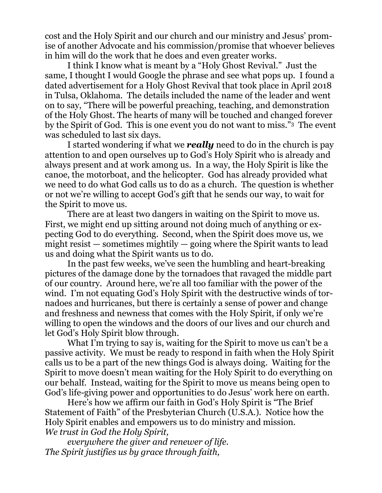cost and the Holy Spirit and our church and our ministry and Jesus' promise of another Advocate and his commission/promise that whoever believes in him will do the work that he does and even greater works.

I think I know what is meant by a "Holy Ghost Revival." Just the same, I thought I would Google the phrase and see what pops up. I found a dated advertisement for a Holy Ghost Revival that took place in April 2018 in Tulsa, Oklahoma. The details included the name of the leader and went on to say, "There will be powerful preaching, teaching, and demonstration of the Holy Ghost. The hearts of many will be touched and changed forever by the Spirit of God. This is one event you do not want to miss."3 The event was scheduled to last six days.

I started wondering if what we *really* need to do in the church is pay attention to and open ourselves up to God's Holy Spirit who is already and always present and at work among us. In a way, the Holy Spirit is like the canoe, the motorboat, and the helicopter. God has already provided what we need to do what God calls us to do as a church. The question is whether or not we're willing to accept God's gift that he sends our way, to wait for the Spirit to move us.

There are at least two dangers in waiting on the Spirit to move us. First, we might end up sitting around not doing much of anything or expecting God to do everything. Second, when the Spirit does move us, we might resist  $-$  sometimes mightily  $-$  going where the Spirit wants to lead us and doing what the Spirit wants us to do.

In the past few weeks, we've seen the humbling and heart-breaking pictures of the damage done by the tornadoes that ravaged the middle part of our country. Around here, we're all too familiar with the power of the wind. I'm not equating God's Holy Spirit with the destructive winds of tornadoes and hurricanes, but there is certainly a sense of power and change and freshness and newness that comes with the Holy Spirit, if only we're willing to open the windows and the doors of our lives and our church and let God's Holy Spirit blow through.

What I'm trying to say is, waiting for the Spirit to move us can't be a passive activity. We must be ready to respond in faith when the Holy Spirit calls us to be a part of the new things God is always doing. Waiting for the Spirit to move doesn't mean waiting for the Holy Spirit to do everything on our behalf. Instead, waiting for the Spirit to move us means being open to God's life-giving power and opportunities to do Jesus' work here on earth.

Here's how we affirm our faith in God's Holy Spirit is "The Brief Statement of Faith" of the Presbyterian Church (U.S.A.). Notice how the Holy Spirit enables and empowers us to do ministry and mission. *We trust in God the Holy Spirit,*

*everywhere the giver and renewer of life. The Spirit justifies us by grace through faith,*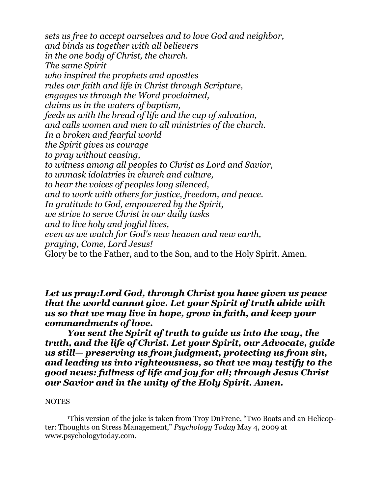*sets us free to accept ourselves and to love God and neighbor, and binds us together with all believers in the one body of Christ, the church. The same Spirit who inspired the prophets and apostles rules our faith and life in Christ through Scripture, engages us through the Word proclaimed, claims us in the waters of baptism, feeds us with the bread of life and the cup of salvation, and calls women and men to all ministries of the church. In a broken and fearful world the Spirit gives us courage to pray without ceasing, to witness among all peoples to Christ as Lord and Savior, to unmask idolatries in church and culture, to hear the voices of peoples long silenced, and to work with others for justice, freedom, and peace. In gratitude to God, empowered by the Spirit, we strive to serve Christ in our daily tasks and to live holy and joyful lives, even as we watch for God's new heaven and new earth, praying, Come, Lord Jesus!* Glory be to the Father, and to the Son, and to the Holy Spirit. Amen.

*Let us pray:Lord God, through Christ you have given us peace that the world cannot give. Let your Spirit of truth abide with us so that we may live in hope, grow in faith, and keep your commandments of love.*

*You sent the Spirit of truth to guide us into the way, the truth, and the life of Christ. Let your Spirit, our Advocate, guide us still— preserving us from judgment, protecting us from sin, and leading us into righteousness, so that we may testify to the good news: fullness of life and joy for all; through Jesus Christ our Savior and in the unity of the Holy Spirit. Amen.*

## **NOTES**

<sup>1</sup>This version of the joke is taken from Troy DuFrene, "Two Boats and an Helicopter: Thoughts on Stress Management," *Psychology Today* May 4, 2009 at [www.psychologytoday.com.](http://www.psychologytoday.com/)